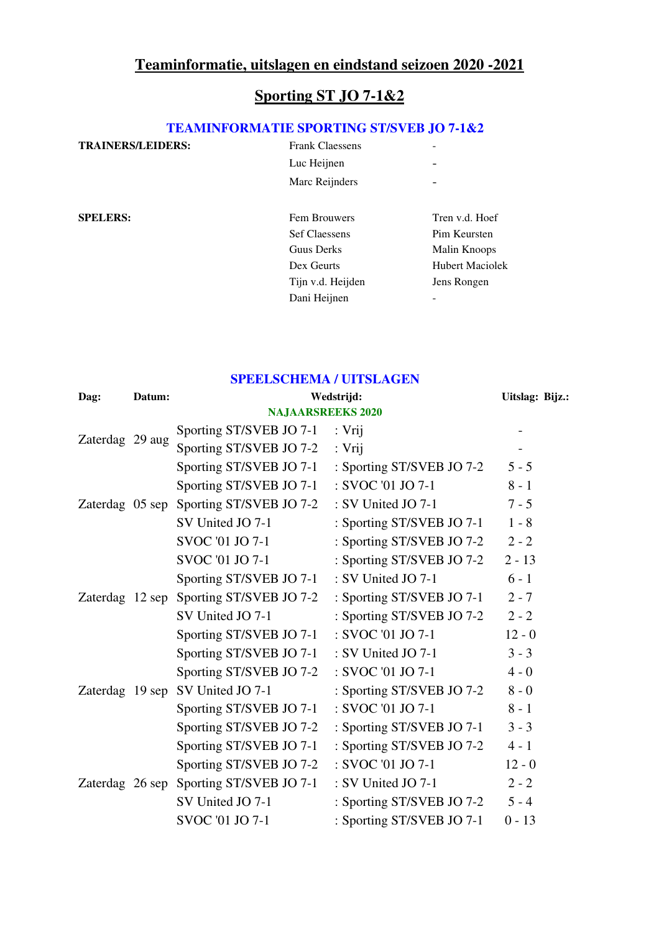## **Teaminformatie, uitslagen en eindstand seizoen 2020 -2021**

## **Sporting ST JO 7-1&2**

#### **TEAMINFORMATIE SPORTING ST/SVEB JO 7-1&2**

| <b>TRAINERS/LEIDERS:</b> | <b>Frank Claessens</b> |                        |
|--------------------------|------------------------|------------------------|
|                          | Luc Heijnen            |                        |
|                          | Marc Reijnders         |                        |
| <b>SPELERS:</b>          | Fem Brouwers           | Tren v.d. Hoef         |
|                          | <b>Sef Claessens</b>   | Pim Keursten           |
|                          | Guus Derks             | Malin Knoops           |
|                          | Dex Geurts             | <b>Hubert Maciolek</b> |
|                          | Tijn v.d. Heijden      | Jens Rongen            |
|                          | Dani Heijnen           |                        |

# **SPEELSCHEMA / UITSLAGEN**

| Dag:                     | Datum: | Wedstrijd:                              | Uitslag: Bijz.:           |          |  |  |  |  |
|--------------------------|--------|-----------------------------------------|---------------------------|----------|--|--|--|--|
| <b>NAJAARSREEKS 2020</b> |        |                                         |                           |          |  |  |  |  |
| Zaterdag 29 aug          |        | Sporting ST/SVEB JO 7-1 : Vrij          |                           |          |  |  |  |  |
|                          |        | Sporting ST/SVEB JO 7-2                 | : Vrij                    |          |  |  |  |  |
|                          |        | Sporting ST/SVEB JO 7-1                 | : Sporting ST/SVEB JO 7-2 | $5 - 5$  |  |  |  |  |
|                          |        | Sporting ST/SVEB JO 7-1                 | : SVOC '01 JO 7-1         | $8 - 1$  |  |  |  |  |
|                          |        | Zaterdag 05 sep Sporting ST/SVEB JO 7-2 | : SV United JO 7-1        | $7 - 5$  |  |  |  |  |
|                          |        | SV United JO 7-1                        | : Sporting ST/SVEB JO 7-1 | $1 - 8$  |  |  |  |  |
|                          |        | SVOC '01 JO 7-1                         | : Sporting ST/SVEB JO 7-2 | $2 - 2$  |  |  |  |  |
| Zaterdag 12 sep          |        | SVOC '01 JO 7-1                         | : Sporting ST/SVEB JO 7-2 | $2 - 13$ |  |  |  |  |
|                          |        | Sporting ST/SVEB JO 7-1                 | : SV United JO 7-1        | $6 - 1$  |  |  |  |  |
|                          |        | Sporting ST/SVEB JO 7-2                 | : Sporting ST/SVEB JO 7-1 | $2 - 7$  |  |  |  |  |
|                          |        | SV United JO 7-1                        | : Sporting ST/SVEB JO 7-2 | $2 - 2$  |  |  |  |  |
|                          |        | Sporting ST/SVEB JO 7-1                 | : SVOC '01 JO 7-1         | $12 - 0$ |  |  |  |  |
| Zaterdag 19 sep          |        | Sporting ST/SVEB JO 7-1                 | : SV United JO 7-1        | $3 - 3$  |  |  |  |  |
|                          |        | Sporting ST/SVEB JO 7-2                 | : SVOC '01 JO 7-1         | $4 - 0$  |  |  |  |  |
|                          |        | SV United JO 7-1                        | : Sporting ST/SVEB JO 7-2 | $8 - 0$  |  |  |  |  |
|                          |        | Sporting ST/SVEB JO 7-1                 | : SVOC '01 JO 7-1         | $8 - 1$  |  |  |  |  |
|                          |        | Sporting ST/SVEB JO 7-2                 | : Sporting ST/SVEB JO 7-1 | $3 - 3$  |  |  |  |  |
| Zaterdag 26 sep          |        | Sporting ST/SVEB JO 7-1                 | : Sporting ST/SVEB JO 7-2 | $4 - 1$  |  |  |  |  |
|                          |        | Sporting ST/SVEB JO 7-2                 | : SVOC '01 JO 7-1         | $12 - 0$ |  |  |  |  |
|                          |        | Sporting ST/SVEB JO 7-1                 | : SV United JO 7-1        | $2 - 2$  |  |  |  |  |
|                          |        | SV United JO 7-1                        | : Sporting ST/SVEB JO 7-2 | $5 - 4$  |  |  |  |  |
|                          |        | SVOC '01 JO 7-1                         | : Sporting ST/SVEB JO 7-1 | $0 - 13$ |  |  |  |  |